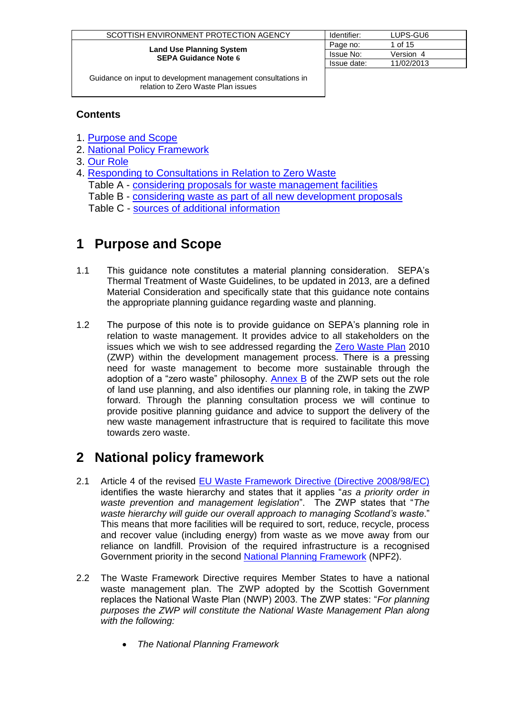| SCOTTISH ENVIRONMENT PROTECTION AGENCY                         | Identifier:      | LUPS-GU6   |
|----------------------------------------------------------------|------------------|------------|
|                                                                | Page no:         | 1 of 15    |
| <b>Land Use Planning System</b><br><b>SEPA Guidance Note 6</b> | <b>Issue No:</b> | Version 4  |
|                                                                | Issue date:      | 11/02/2013 |

#### **Contents**

- 1. [Purpose and Scope](#page-0-0)
- 2. [National Policy Framework](#page-0-1)
- 3. [Our Role](#page-2-0)
- 4. [Responding to Consultations in Relation to Zero Waste](#page-3-0) Table A - [considering proposals for waste management facilities](#page-3-1) Table B - [considering waste as part of all new development](#page-11-0) proposals Table C - [sources of additional information](#page-13-0)

## <span id="page-0-0"></span>**1 Purpose and Scope**

- 1.1 This guidance note constitutes a material planning consideration. SEPA's Thermal Treatment of Waste Guidelines, to be updated in 2013, are a defined Material Consideration and specifically state that this guidance note contains the appropriate planning guidance regarding waste and planning.
- 1.2 The purpose of this note is to provide guidance on SEPA's planning role in relation to waste management. It provides advice to all stakeholders on the issues which we wish to see addressed regarding the [Zero Waste Plan](http://www.scotland.gov.uk/Topics/Environment/waste-and-pollution/Waste-1/wastestrategy) 2010 (ZWP) within the development management process. There is a pressing need for waste management to become more sustainable through the adoption of a "zero waste" philosophy. [Annex B](http://www.scotland.gov.uk/Topics/Environment/waste-and-pollution/Waste-1/wastestrategy/annexb) of the ZWP sets out the role of land use planning, and also identifies our planning role, in taking the ZWP forward. Through the planning consultation process we will continue to provide positive planning guidance and advice to support the delivery of the new waste management infrastructure that is required to facilitate this move towards zero waste.

# <span id="page-0-1"></span>**2 National policy framework**

- 2.1 Article 4 of the revised [EU Waste Framework Directive \(Directive 2008/98/EC\)](http://eur-lex.europa.eu/LexUriServ/LexUriServ.do?uri=OJ:L:2008:312:0003:0030:en:PDF) identifies the waste hierarchy and states that it applies "*as a priority order in waste prevention and management legislation*". The ZWP states that "*The waste hierarchy will guide our overall approach to managing Scotland's waste*." This means that more facilities will be required to sort, reduce, recycle, process and recover value (including energy) from waste as we move away from our reliance on landfill. Provision of the required infrastructure is a recognised Government priority in the second [National Planning Framework](http://www.scotland.gov.uk/Topics/Built-Environment/planning/National-Planning-Policy/npf) (NPF2).
- 2.2 The Waste Framework Directive requires Member States to have a national waste management plan. The ZWP adopted by the Scottish Government replaces the National Waste Plan (NWP) 2003. The ZWP states: "*For planning purposes the ZWP will constitute the National Waste Management Plan along with the following:*
	- *The National Planning Framework*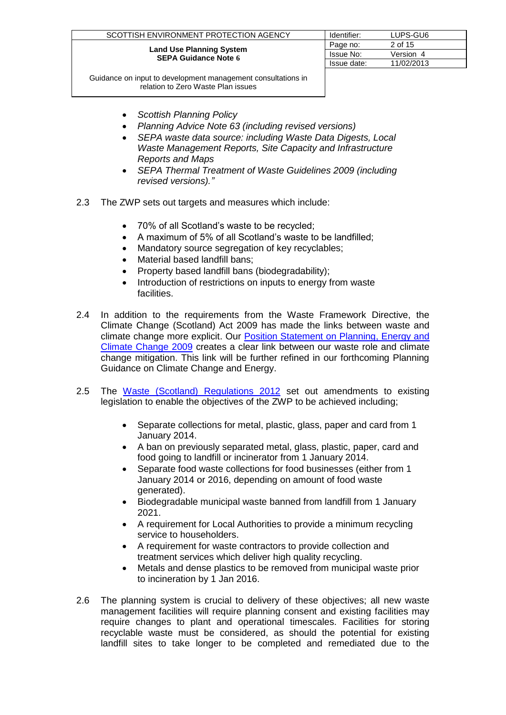| SCOTTISH ENVIRONMENT PROTECTION AGENCY                         | Identifier: | LUPS-GU6   |
|----------------------------------------------------------------|-------------|------------|
|                                                                | Page no:    | 2 of 15    |
| <b>Land Use Planning System</b><br><b>SEPA Guidance Note 6</b> | Issue No:   | Version 4  |
|                                                                | Issue date: | 11/02/2013 |
|                                                                |             |            |

- *Scottish Planning Policy*
- *Planning Advice Note 63 (including revised versions)*
- *SEPA waste data source: including Waste Data Digests, Local Waste Management Reports, Site Capacity and Infrastructure Reports and Maps*
- *SEPA Thermal Treatment of Waste Guidelines 2009 (including revised versions)."*
- 2.3 The ZWP sets out targets and measures which include:
	- 70% of all Scotland's waste to be recycled;
	- A maximum of 5% of all Scotland's waste to be landfilled;
	- Mandatory source segregation of key recyclables:
	- Material based landfill bans;
	- Property based landfill bans (biodegradability);
	- Introduction of restrictions on inputs to energy from waste facilities.
- 2.4 In addition to the requirements from the Waste Framework Directive, the [Climate Change \(Scotland\) Act 2009](http://www.scotland.gov.uk/Topics/Environment/climatechange/scotlands-action/climatechangeact) has made the links between waste and climate change more explicit. Our [Position Statement on Planning, Energy and](http://www.sepa.org.uk/idoc.ashx?docid=d8d04aac-d2c2-4043-9704-3bd3236c7f04&version=-1)  [Climate Change 2009](http://www.sepa.org.uk/idoc.ashx?docid=d8d04aac-d2c2-4043-9704-3bd3236c7f04&version=-1) creates a clear link between our waste role and climate change mitigation. This link will be further refined in our forthcoming Planning Guidance on Climate Change and Energy.
- 2.5 The [Waste \(Scotland\) Regulations 2012](http://www.legislation.gov.uk/sdsi/2012/9780111016657/contents) set out amendments to existing legislation to enable the objectives of the ZWP to be achieved including;
	- Separate collections for metal, plastic, glass, paper and card from 1 January 2014.
	- A ban on previously separated metal, glass, plastic, paper, card and food going to landfill or incinerator from 1 January 2014.
	- Separate food waste collections for food businesses (either from 1 January 2014 or 2016, depending on amount of food waste generated).
	- Biodegradable municipal waste banned from landfill from 1 January 2021.
	- A requirement for Local Authorities to provide a minimum recycling service to householders.
	- A requirement for waste contractors to provide collection and treatment services which deliver high quality recycling.
	- Metals and dense plastics to be removed from municipal waste prior to incineration by 1 Jan 2016.
- 2.6 The planning system is crucial to delivery of these objectives; all new waste management facilities will require planning consent and existing facilities may require changes to plant and operational timescales. Facilities for storing recyclable waste must be considered, as should the potential for existing landfill sites to take longer to be completed and remediated due to the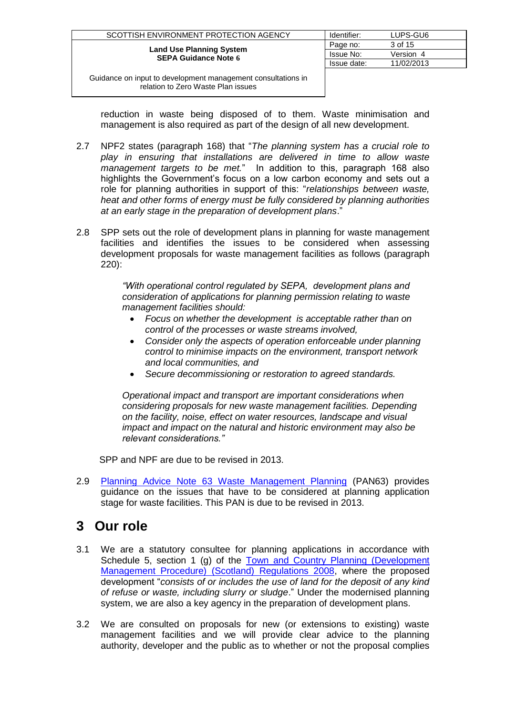| SCOTTISH ENVIRONMENT PROTECTION AGENCY                         | Identifier: | LUPS-GU6   |
|----------------------------------------------------------------|-------------|------------|
|                                                                | Page no:    | 3 of 15    |
| <b>Land Use Planning System</b><br><b>SEPA Guidance Note 6</b> | Issue No:   | Version 4  |
|                                                                | Issue date: | 11/02/2013 |
|                                                                |             |            |

reduction in waste being disposed of to them. Waste minimisation and management is also required as part of the design of all new development.

- 2.7 NPF2 states (paragraph 168) that "*The planning system has a crucial role to play in ensuring that installations are delivered in time to allow waste management targets to be met.*" In addition to this, paragraph 168 also highlights the Government's focus on a low carbon economy and sets out a role for planning authorities in support of this: "*relationships between waste, heat and other forms of energy must be fully considered by planning authorities at an early stage in the preparation of development plans*."
- 2.8 SPP sets out the role of development plans in planning for waste management facilities and identifies the issues to be considered when assessing development proposals for waste management facilities as follows (paragraph 220):

*"With operational control regulated by SEPA, development plans and consideration of applications for planning permission relating to waste management facilities should:*

- *Focus on whether the development is acceptable rather than on control of the processes or waste streams involved,*
- *Consider only the aspects of operation enforceable under planning control to minimise impacts on the environment, transport network and local communities, and*
- *Secure decommissioning or restoration to agreed standards.*

*Operational impact and transport are important considerations when considering proposals for new waste management facilities. Depending on the facility, noise, effect on water resources, landscape and visual impact and impact on the natural and historic environment may also be relevant considerations."*

SPP and NPF are due to be revised in 2013.

2.9 [Planning Advice Note 63 Waste Management Planning](http://www.scotland.gov.uk/Publications/2002/02/pan63/pan-63) (PAN63) provides guidance on the issues that have to be considered at planning application stage for waste facilities. This PAN is due to be revised in 2013.

# <span id="page-2-0"></span>**3 Our role**

- 3.1 We are a statutory consultee for planning applications in accordance with Schedule 5, section 1 (g) of the [Town and Country Planning \(Development](http://www.legislation.gov.uk/ssi/2008/432/contents/made)  [Management Procedure\) \(Scotland\) Regulations 2008,](http://www.legislation.gov.uk/ssi/2008/432/contents/made) where the proposed development "*consists of or includes the use of land for the deposit of any kind of refuse or waste, including slurry or sludge*." Under the modernised planning system, we are also a key agency in the preparation of development plans.
- 3.2 We are consulted on proposals for new (or extensions to existing) waste management facilities and we will provide clear advice to the planning authority, developer and the public as to whether or not the proposal complies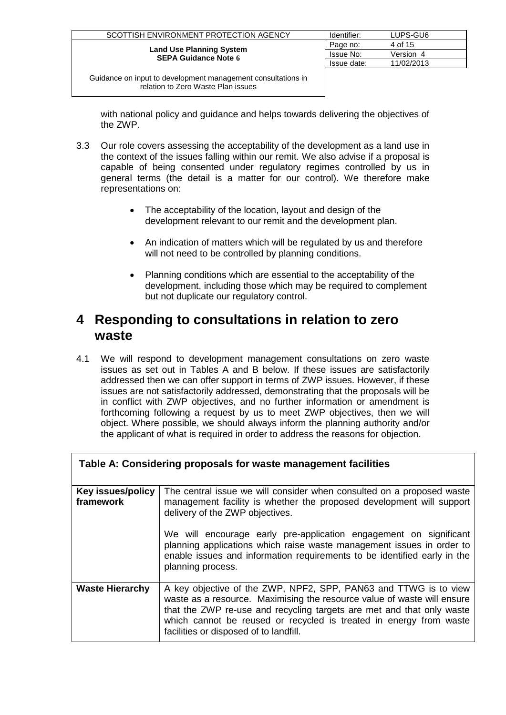| SCOTTISH ENVIRONMENT PROTECTION AGENCY                         | Identifier:      | LUPS-GU6   |
|----------------------------------------------------------------|------------------|------------|
|                                                                | Page no:         | 4 of 15    |
| <b>Land Use Planning System</b><br><b>SEPA Guidance Note 6</b> | <b>Issue No:</b> | Version 4  |
|                                                                | Issue date:      | 11/02/2013 |
|                                                                |                  |            |

with national policy and quidance and helps towards delivering the objectives of the ZWP.

- 3.3 Our role covers assessing the acceptability of the development as a land use in the context of the issues falling within our remit. We also advise if a proposal is capable of being consented under regulatory regimes controlled by us in general terms (the detail is a matter for our control). We therefore make representations on:
	- The acceptability of the location, layout and design of the development relevant to our remit and the development plan.
	- An indication of matters which will be regulated by us and therefore will not need to be controlled by planning conditions.
	- Planning conditions which are essential to the acceptability of the development, including those which may be required to complement but not duplicate our regulatory control.

### <span id="page-3-0"></span>**4 Responding to consultations in relation to zero waste**

4.1 We will respond to development management consultations on zero waste issues as set out in Tables A and B below. If these issues are satisfactorily addressed then we can offer support in terms of ZWP issues. However, if these issues are not satisfactorily addressed, demonstrating that the proposals will be in conflict with ZWP objectives, and no further information or amendment is forthcoming following a request by us to meet ZWP objectives, then we will object. Where possible, we should always inform the planning authority and/or the applicant of what is required in order to address the reasons for objection.

<span id="page-3-1"></span>

|                                | Table A: Considering proposals for waste management facilities                                                                                                                                                                                                                                                                       |
|--------------------------------|--------------------------------------------------------------------------------------------------------------------------------------------------------------------------------------------------------------------------------------------------------------------------------------------------------------------------------------|
| Key issues/policy<br>framework | The central issue we will consider when consulted on a proposed waste<br>management facility is whether the proposed development will support<br>delivery of the ZWP objectives.                                                                                                                                                     |
|                                | We will encourage early pre-application engagement on significant<br>planning applications which raise waste management issues in order to<br>enable issues and information requirements to be identified early in the<br>planning process.                                                                                          |
| <b>Waste Hierarchy</b>         | A key objective of the ZWP, NPF2, SPP, PAN63 and TTWG is to view<br>waste as a resource. Maximising the resource value of waste will ensure<br>that the ZWP re-use and recycling targets are met and that only waste<br>which cannot be reused or recycled is treated in energy from waste<br>facilities or disposed of to landfill. |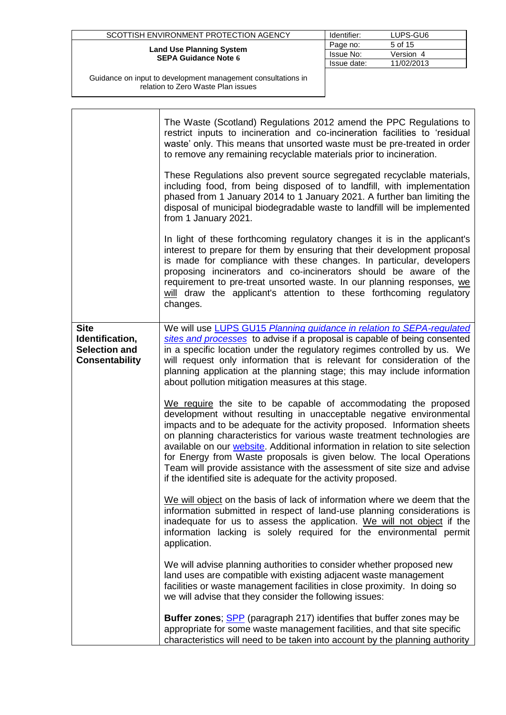| SCOTTISH ENVIRONMENT PROTECTION AGENCY                         | Identifier: | LUPS-GU6   |
|----------------------------------------------------------------|-------------|------------|
|                                                                | Page no:    | 5 of 15    |
| <b>Land Use Planning System</b><br><b>SEPA Guidance Note 6</b> | Issue No:   | Version 4  |
|                                                                | Issue date: | 11/02/2013 |
|                                                                |             |            |

|                                                                                 | The Waste (Scotland) Regulations 2012 amend the PPC Regulations to<br>restrict inputs to incineration and co-incineration facilities to 'residual<br>waste' only. This means that unsorted waste must be pre-treated in order<br>to remove any remaining recyclable materials prior to incineration.                                                                                                                                                                                                                                                                                                   |
|---------------------------------------------------------------------------------|--------------------------------------------------------------------------------------------------------------------------------------------------------------------------------------------------------------------------------------------------------------------------------------------------------------------------------------------------------------------------------------------------------------------------------------------------------------------------------------------------------------------------------------------------------------------------------------------------------|
|                                                                                 | These Regulations also prevent source segregated recyclable materials,<br>including food, from being disposed of to landfill, with implementation<br>phased from 1 January 2014 to 1 January 2021. A further ban limiting the<br>disposal of municipal biodegradable waste to landfill will be implemented<br>from 1 January 2021.                                                                                                                                                                                                                                                                     |
|                                                                                 | In light of these forthcoming regulatory changes it is in the applicant's<br>interest to prepare for them by ensuring that their development proposal<br>is made for compliance with these changes. In particular, developers<br>proposing incinerators and co-incinerators should be aware of the<br>requirement to pre-treat unsorted waste. In our planning responses, we<br>will draw the applicant's attention to these forthcoming regulatory<br>changes.                                                                                                                                        |
| <b>Site</b><br>Identification,<br><b>Selection and</b><br><b>Consentability</b> | We will use LUPS GU15 Planning guidance in relation to SEPA-regulated<br>sites and processes to advise if a proposal is capable of being consented<br>in a specific location under the regulatory regimes controlled by us. We<br>will request only information that is relevant for consideration of the<br>planning application at the planning stage; this may include information<br>about pollution mitigation measures at this stage.                                                                                                                                                            |
|                                                                                 | We require the site to be capable of accommodating the proposed<br>development without resulting in unacceptable negative environmental<br>impacts and to be adequate for the activity proposed. Information sheets<br>on planning characteristics for various waste treatment technologies are<br>available on our website. Additional information in relation to site selection<br>for Energy from Waste proposals is given below. The local Operations<br>Team will provide assistance with the assessment of site size and advise<br>if the identified site is adequate for the activity proposed. |
|                                                                                 | We will object on the basis of lack of information where we deem that the<br>information submitted in respect of land-use planning considerations is<br>inadequate for us to assess the application. We will not object if the<br>information lacking is solely required for the environmental permit<br>application.                                                                                                                                                                                                                                                                                  |
|                                                                                 | We will advise planning authorities to consider whether proposed new<br>land uses are compatible with existing adjacent waste management<br>facilities or waste management facilities in close proximity. In doing so<br>we will advise that they consider the following issues:                                                                                                                                                                                                                                                                                                                       |
|                                                                                 | <b>Buffer zones</b> ; <b>SPP</b> (paragraph 217) identifies that buffer zones may be<br>appropriate for some waste management facilities, and that site specific<br>characteristics will need to be taken into account by the planning authority                                                                                                                                                                                                                                                                                                                                                       |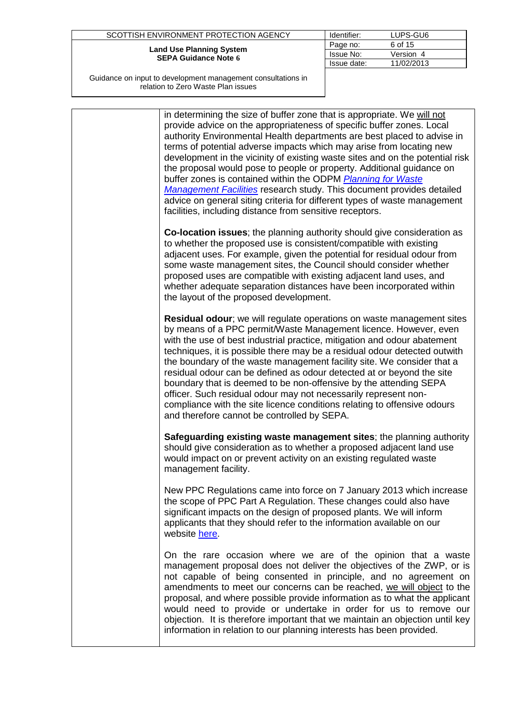| SCOTTISH ENVIRONMENT PROTECTION AGENCY                         | Identifier: | LUPS-GU6   |
|----------------------------------------------------------------|-------------|------------|
|                                                                | Page no:    | 6 of 15    |
| <b>Land Use Planning System</b><br><b>SEPA Guidance Note 6</b> | Issue No:   | Version 4  |
|                                                                | Issue date: | 11/02/2013 |
|                                                                |             |            |

|  | in determining the size of buffer zone that is appropriate. We will not<br>provide advice on the appropriateness of specific buffer zones. Local<br>authority Environmental Health departments are best placed to advise in<br>terms of potential adverse impacts which may arise from locating new<br>development in the vicinity of existing waste sites and on the potential risk<br>the proposal would pose to people or property. Additional guidance on<br>buffer zones is contained within the ODPM Planning for Waste<br><b>Management Facilities research study. This document provides detailed</b><br>advice on general siting criteria for different types of waste management<br>facilities, including distance from sensitive receptors. |
|--|--------------------------------------------------------------------------------------------------------------------------------------------------------------------------------------------------------------------------------------------------------------------------------------------------------------------------------------------------------------------------------------------------------------------------------------------------------------------------------------------------------------------------------------------------------------------------------------------------------------------------------------------------------------------------------------------------------------------------------------------------------|
|  | Co-location issues; the planning authority should give consideration as<br>to whether the proposed use is consistent/compatible with existing<br>adjacent uses. For example, given the potential for residual odour from<br>some waste management sites, the Council should consider whether<br>proposed uses are compatible with existing adjacent land uses, and<br>whether adequate separation distances have been incorporated within<br>the layout of the proposed development.                                                                                                                                                                                                                                                                   |
|  | Residual odour; we will regulate operations on waste management sites<br>by means of a PPC permit/Waste Management licence. However, even<br>with the use of best industrial practice, mitigation and odour abatement<br>techniques, it is possible there may be a residual odour detected outwith<br>the boundary of the waste management facility site. We consider that a<br>residual odour can be defined as odour detected at or beyond the site<br>boundary that is deemed to be non-offensive by the attending SEPA<br>officer. Such residual odour may not necessarily represent non-<br>compliance with the site licence conditions relating to offensive odours<br>and therefore cannot be controlled by SEPA.                               |
|  | Safeguarding existing waste management sites; the planning authority<br>should give consideration as to whether a proposed adjacent land use<br>would impact on or prevent activity on an existing regulated waste<br>management facility.                                                                                                                                                                                                                                                                                                                                                                                                                                                                                                             |
|  | New PPC Regulations came into force on 7 January 2013 which increase<br>the scope of PPC Part A Regulation. These changes could also have<br>significant impacts on the design of proposed plants. We will inform<br>applicants that they should refer to the information available on our<br>website here.                                                                                                                                                                                                                                                                                                                                                                                                                                            |
|  | On the rare occasion where we are of the opinion that a waste<br>management proposal does not deliver the objectives of the ZWP, or is<br>not capable of being consented in principle, and no agreement on<br>amendments to meet our concerns can be reached, we will object to the<br>proposal, and where possible provide information as to what the applicant<br>would need to provide or undertake in order for us to remove our<br>objection. It is therefore important that we maintain an objection until key<br>information in relation to our planning interests has been provided.                                                                                                                                                           |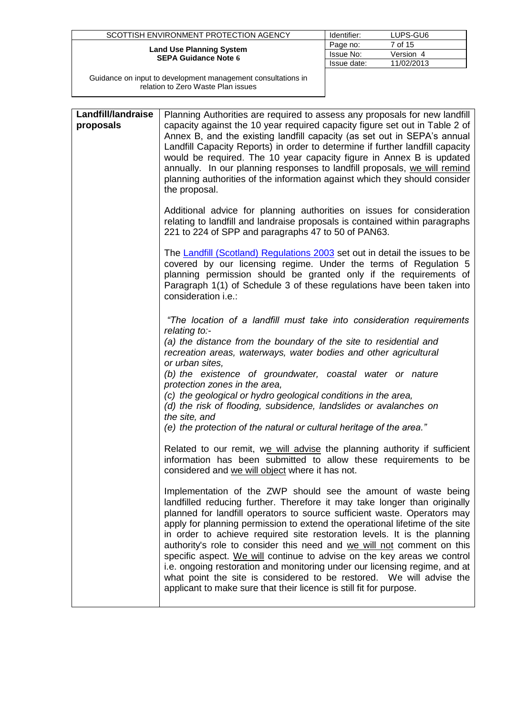| SCOTTISH ENVIRONMENT PROTECTION AGENCY                         | Identifier: | LUPS-GU6   |
|----------------------------------------------------------------|-------------|------------|
|                                                                | Page no:    | 7 of 15    |
| <b>Land Use Planning System</b><br><b>SEPA Guidance Note 6</b> | Issue No:   | Version 4  |
|                                                                | Issue date: | 11/02/2013 |
|                                                                |             |            |

| Landfill/landraise<br>proposals | Planning Authorities are required to assess any proposals for new landfill<br>capacity against the 10 year required capacity figure set out in Table 2 of<br>Annex B, and the existing landfill capacity (as set out in SEPA's annual<br>Landfill Capacity Reports) in order to determine if further landfill capacity<br>would be required. The 10 year capacity figure in Annex B is updated<br>annually. In our planning responses to landfill proposals, we will remind<br>planning authorities of the information against which they should consider<br>the proposal.                                                                                                                                                                                            |
|---------------------------------|-----------------------------------------------------------------------------------------------------------------------------------------------------------------------------------------------------------------------------------------------------------------------------------------------------------------------------------------------------------------------------------------------------------------------------------------------------------------------------------------------------------------------------------------------------------------------------------------------------------------------------------------------------------------------------------------------------------------------------------------------------------------------|
|                                 | Additional advice for planning authorities on issues for consideration<br>relating to landfill and landraise proposals is contained within paragraphs<br>221 to 224 of SPP and paragraphs 47 to 50 of PAN63.                                                                                                                                                                                                                                                                                                                                                                                                                                                                                                                                                          |
|                                 | The Landfill (Scotland) Regulations 2003 set out in detail the issues to be<br>covered by our licensing regime. Under the terms of Regulation 5<br>planning permission should be granted only if the requirements of<br>Paragraph 1(1) of Schedule 3 of these regulations have been taken into<br>consideration i.e.:                                                                                                                                                                                                                                                                                                                                                                                                                                                 |
|                                 | "The location of a landfill must take into consideration requirements<br>relating to:-<br>(a) the distance from the boundary of the site to residential and<br>recreation areas, waterways, water bodies and other agricultural<br>or urban sites,<br>(b) the existence of groundwater, coastal water or nature<br>protection zones in the area,<br>(c) the geological or hydro geological conditions in the area,<br>(d) the risk of flooding, subsidence, landslides or avalanches on<br>the site, and<br>(e) the protection of the natural or cultural heritage of the area."                                                                                                                                                                                      |
|                                 | Related to our remit, we will advise the planning authority if sufficient<br>information has been submitted to allow these requirements to be<br>considered and we will object where it has not.                                                                                                                                                                                                                                                                                                                                                                                                                                                                                                                                                                      |
|                                 | Implementation of the ZWP should see the amount of waste being<br>landfilled reducing further. Therefore it may take longer than originally<br>planned for landfill operators to source sufficient waste. Operators may<br>apply for planning permission to extend the operational lifetime of the site<br>in order to achieve required site restoration levels. It is the planning<br>authority's role to consider this need and we will not comment on this<br>specific aspect. We will continue to advise on the key areas we control<br>i.e. ongoing restoration and monitoring under our licensing regime, and at<br>what point the site is considered to be restored. We will advise the<br>applicant to make sure that their licence is still fit for purpose. |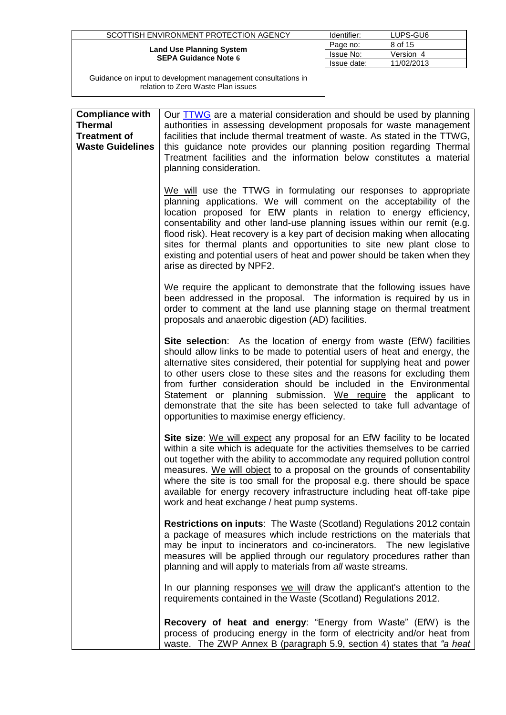| SCOTTISH ENVIRONMENT PROTECTION AGENCY                         | Identifier: | LUPS-GU6   |
|----------------------------------------------------------------|-------------|------------|
|                                                                | Page no:    | 8 of 15    |
| <b>Land Use Planning System</b><br><b>SEPA Guidance Note 6</b> | Issue No:   | Version    |
|                                                                | Issue date: | 11/02/2013 |
|                                                                |             |            |

| <b>Compliance with</b><br><b>Thermal</b><br><b>Treatment of</b><br><b>Waste Guidelines</b> | Our TTWG are a material consideration and should be used by planning<br>authorities in assessing development proposals for waste management<br>facilities that include thermal treatment of waste. As stated in the TTWG,<br>this guidance note provides our planning position regarding Thermal<br>Treatment facilities and the information below constitutes a material<br>planning consideration.                                                                                                                                                                      |
|--------------------------------------------------------------------------------------------|---------------------------------------------------------------------------------------------------------------------------------------------------------------------------------------------------------------------------------------------------------------------------------------------------------------------------------------------------------------------------------------------------------------------------------------------------------------------------------------------------------------------------------------------------------------------------|
|                                                                                            | We will use the TTWG in formulating our responses to appropriate<br>planning applications. We will comment on the acceptability of the<br>location proposed for EfW plants in relation to energy efficiency,<br>consentability and other land-use planning issues within our remit (e.g.<br>flood risk). Heat recovery is a key part of decision making when allocating<br>sites for thermal plants and opportunities to site new plant close to<br>existing and potential users of heat and power should be taken when they<br>arise as directed by NPF2.                |
|                                                                                            | We require the applicant to demonstrate that the following issues have<br>been addressed in the proposal. The information is required by us in<br>order to comment at the land use planning stage on thermal treatment<br>proposals and anaerobic digestion (AD) facilities.                                                                                                                                                                                                                                                                                              |
|                                                                                            | Site selection: As the location of energy from waste (EfW) facilities<br>should allow links to be made to potential users of heat and energy, the<br>alternative sites considered, their potential for supplying heat and power<br>to other users close to these sites and the reasons for excluding them<br>from further consideration should be included in the Environmental<br>Statement or planning submission. We require the applicant to<br>demonstrate that the site has been selected to take full advantage of<br>opportunities to maximise energy efficiency. |
|                                                                                            | Site size: We will expect any proposal for an EfW facility to be located<br>within a site which is adequate for the activities themselves to be carried<br>out together with the ability to accommodate any required pollution control<br>measures. We will object to a proposal on the grounds of consentability<br>where the site is too small for the proposal e.g. there should be space<br>available for energy recovery infrastructure including heat off-take pipe<br>work and heat exchange / heat pump systems.                                                  |
|                                                                                            | Restrictions on inputs: The Waste (Scotland) Regulations 2012 contain<br>a package of measures which include restrictions on the materials that<br>may be input to incinerators and co-incinerators. The new legislative<br>measures will be applied through our regulatory procedures rather than<br>planning and will apply to materials from all waste streams.                                                                                                                                                                                                        |
|                                                                                            | In our planning responses we will draw the applicant's attention to the<br>requirements contained in the Waste (Scotland) Regulations 2012.                                                                                                                                                                                                                                                                                                                                                                                                                               |
|                                                                                            | Recovery of heat and energy: "Energy from Waste" (EfW) is the<br>process of producing energy in the form of electricity and/or heat from<br>waste. The ZWP Annex B (paragraph 5.9, section 4) states that "a heat                                                                                                                                                                                                                                                                                                                                                         |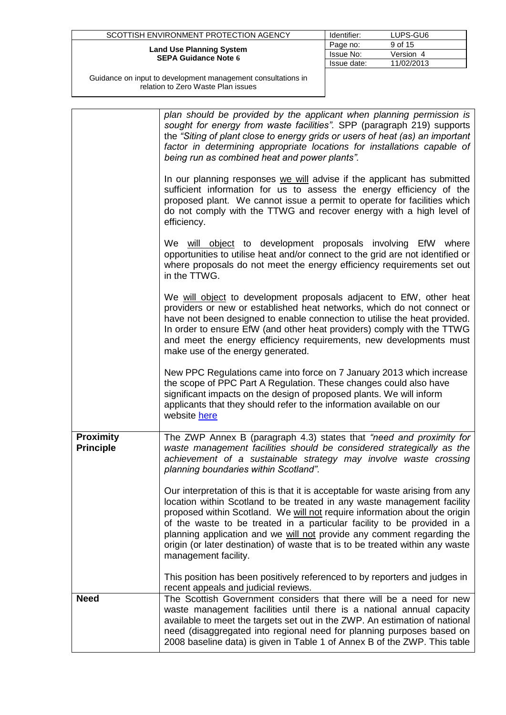| SCOTTISH ENVIRONMENT PROTECTION AGENCY                         | Identifier: | LUPS-GU6   |
|----------------------------------------------------------------|-------------|------------|
|                                                                | Page no:    | 9 of 15    |
| <b>Land Use Planning System</b><br><b>SEPA Guidance Note 6</b> | Issue No:   | Version 4  |
|                                                                | Issue date: | 11/02/2013 |
|                                                                |             |            |

|                                      | plan should be provided by the applicant when planning permission is<br>sought for energy from waste facilities". SPP (paragraph 219) supports<br>the "Siting of plant close to energy grids or users of heat (as) an important<br>factor in determining appropriate locations for installations capable of<br>being run as combined heat and power plants".                                                                                                                                          |
|--------------------------------------|-------------------------------------------------------------------------------------------------------------------------------------------------------------------------------------------------------------------------------------------------------------------------------------------------------------------------------------------------------------------------------------------------------------------------------------------------------------------------------------------------------|
|                                      | In our planning responses we will advise if the applicant has submitted<br>sufficient information for us to assess the energy efficiency of the<br>proposed plant. We cannot issue a permit to operate for facilities which<br>do not comply with the TTWG and recover energy with a high level of<br>efficiency.                                                                                                                                                                                     |
|                                      | We will object to development proposals involving EfW where<br>opportunities to utilise heat and/or connect to the grid are not identified or<br>where proposals do not meet the energy efficiency requirements set out<br>in the TTWG.                                                                                                                                                                                                                                                               |
|                                      | We will object to development proposals adjacent to EfW, other heat<br>providers or new or established heat networks, which do not connect or<br>have not been designed to enable connection to utilise the heat provided.<br>In order to ensure EfW (and other heat providers) comply with the TTWG<br>and meet the energy efficiency requirements, new developments must<br>make use of the energy generated.                                                                                       |
|                                      | New PPC Regulations came into force on 7 January 2013 which increase<br>the scope of PPC Part A Regulation. These changes could also have<br>significant impacts on the design of proposed plants. We will inform<br>applicants that they should refer to the information available on our<br>website here                                                                                                                                                                                            |
| <b>Proximity</b><br><b>Principle</b> | The ZWP Annex B (paragraph 4.3) states that "need and proximity for<br>waste management facilities should be considered strategically as the<br>achievement of a sustainable strategy may involve waste crossing<br>planning boundaries within Scotland".                                                                                                                                                                                                                                             |
|                                      | Our interpretation of this is that it is acceptable for waste arising from any<br>location within Scotland to be treated in any waste management facility<br>proposed within Scotland. We will not require information about the origin<br>of the waste to be treated in a particular facility to be provided in a<br>planning application and we will not provide any comment regarding the<br>origin (or later destination) of waste that is to be treated within any waste<br>management facility. |
|                                      | This position has been positively referenced to by reporters and judges in<br>recent appeals and judicial reviews.                                                                                                                                                                                                                                                                                                                                                                                    |
| <b>Need</b>                          | The Scottish Government considers that there will be a need for new<br>waste management facilities until there is a national annual capacity<br>available to meet the targets set out in the ZWP. An estimation of national<br>need (disaggregated into regional need for planning purposes based on<br>2008 baseline data) is given in Table 1 of Annex B of the ZWP. This table                                                                                                                     |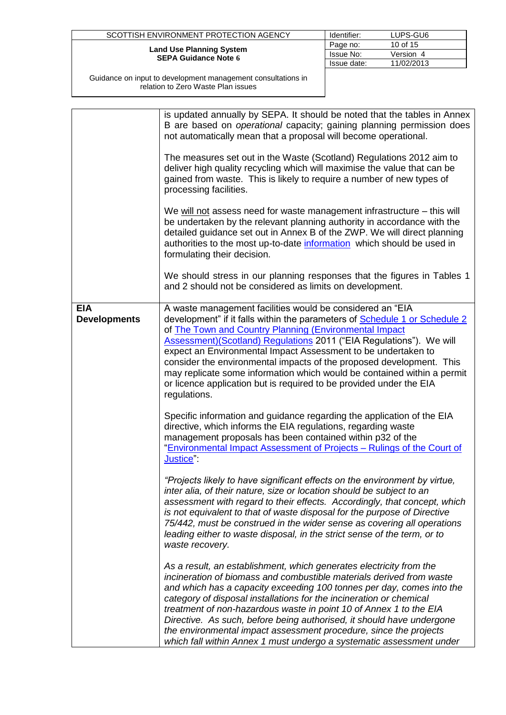| SCOTTISH ENVIRONMENT PROTECTION AGENCY                         | Identifier: | LUPS-GU6   |
|----------------------------------------------------------------|-------------|------------|
|                                                                | Page no:    | 10 of 15   |
| <b>Land Use Planning System</b><br><b>SEPA Guidance Note 6</b> | Issue No:   | Version    |
|                                                                | Issue date: | 11/02/2013 |
|                                                                |             |            |

|                                   | is updated annually by SEPA. It should be noted that the tables in Annex<br>B are based on operational capacity; gaining planning permission does<br>not automatically mean that a proposal will become operational.                                                                                                                                                                                                                                                                                                                                                                        |
|-----------------------------------|---------------------------------------------------------------------------------------------------------------------------------------------------------------------------------------------------------------------------------------------------------------------------------------------------------------------------------------------------------------------------------------------------------------------------------------------------------------------------------------------------------------------------------------------------------------------------------------------|
|                                   | The measures set out in the Waste (Scotland) Regulations 2012 aim to<br>deliver high quality recycling which will maximise the value that can be<br>gained from waste. This is likely to require a number of new types of<br>processing facilities.                                                                                                                                                                                                                                                                                                                                         |
|                                   | We will not assess need for waste management infrastructure - this will<br>be undertaken by the relevant planning authority in accordance with the<br>detailed guidance set out in Annex B of the ZWP. We will direct planning<br>authorities to the most up-to-date information which should be used in<br>formulating their decision.                                                                                                                                                                                                                                                     |
|                                   | We should stress in our planning responses that the figures in Tables 1<br>and 2 should not be considered as limits on development.                                                                                                                                                                                                                                                                                                                                                                                                                                                         |
| <b>EIA</b><br><b>Developments</b> | A waste management facilities would be considered an "EIA<br>development" if it falls within the parameters of Schedule 1 or Schedule 2<br>of <b>The Town and Country Planning (Environmental Impact</b><br>Assessment) (Scotland) Regulations 2011 ("EIA Regulations"). We will<br>expect an Environmental Impact Assessment to be undertaken to<br>consider the environmental impacts of the proposed development. This<br>may replicate some information which would be contained within a permit<br>or licence application but is required to be provided under the EIA<br>regulations. |
|                                   | Specific information and guidance regarding the application of the EIA<br>directive, which informs the EIA regulations, regarding waste<br>management proposals has been contained within p32 of the<br>"Environmental Impact Assessment of Projects - Rulings of the Court of<br>Justice":                                                                                                                                                                                                                                                                                                 |
|                                   | "Projects likely to have significant effects on the environment by virtue,<br>inter alia, of their nature, size or location should be subject to an<br>assessment with regard to their effects. Accordingly, that concept, which<br>is not equivalent to that of waste disposal for the purpose of Directive<br>75/442, must be construed in the wider sense as covering all operations<br>leading either to waste disposal, in the strict sense of the term, or to<br>waste recovery.                                                                                                      |
|                                   | As a result, an establishment, which generates electricity from the<br>incineration of biomass and combustible materials derived from waste<br>and which has a capacity exceeding 100 tonnes per day, comes into the<br>category of disposal installations for the incineration or chemical<br>treatment of non-hazardous waste in point 10 of Annex 1 to the EIA<br>Directive. As such, before being authorised, it should have undergone<br>the environmental impact assessment procedure, since the projects<br>which fall within Annex 1 must undergo a systematic assessment under     |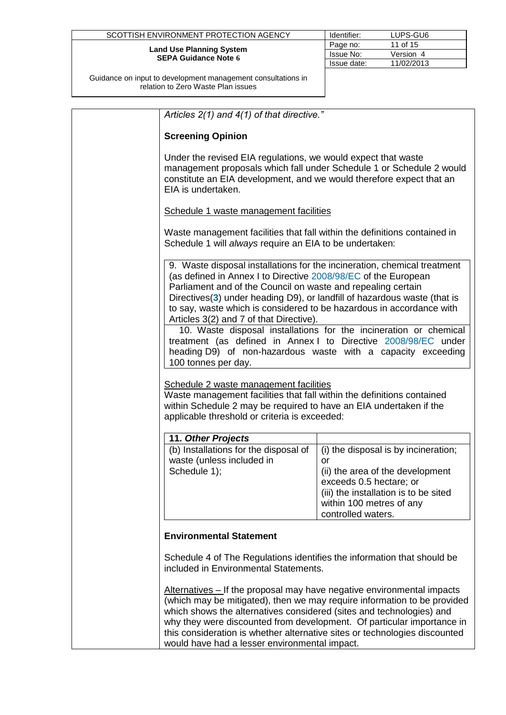| SCOTTISH ENVIRONMENT PROTECTION AGENCY                         | Identifier:      | LUPS-GU6   |
|----------------------------------------------------------------|------------------|------------|
|                                                                | Page no:         | 11 of 15   |
| <b>Land Use Planning System</b><br><b>SEPA Guidance Note 6</b> | <b>Issue No:</b> | Version 4  |
|                                                                | Issue date:      | 11/02/2013 |
|                                                                |                  |            |

| Articles 2(1) and 4(1) of that directive."                                                                                                                                                                                                                                                                                    |                                                                                                                                                                                                      |
|-------------------------------------------------------------------------------------------------------------------------------------------------------------------------------------------------------------------------------------------------------------------------------------------------------------------------------|------------------------------------------------------------------------------------------------------------------------------------------------------------------------------------------------------|
| <b>Screening Opinion</b>                                                                                                                                                                                                                                                                                                      |                                                                                                                                                                                                      |
| Under the revised EIA regulations, we would expect that waste<br>constitute an EIA development, and we would therefore expect that an<br>EIA is undertaken.                                                                                                                                                                   | management proposals which fall under Schedule 1 or Schedule 2 would                                                                                                                                 |
| Schedule 1 waste management facilities                                                                                                                                                                                                                                                                                        |                                                                                                                                                                                                      |
| Waste management facilities that fall within the definitions contained in<br>Schedule 1 will always require an EIA to be undertaken:                                                                                                                                                                                          |                                                                                                                                                                                                      |
| (as defined in Annex I to Directive 2008/98/EC of the European<br>Parliament and of the Council on waste and repealing certain<br>Directives(3) under heading D9), or landfill of hazardous waste (that is<br>to say, waste which is considered to be hazardous in accordance with<br>Articles 3(2) and 7 of that Directive). | 9. Waste disposal installations for the incineration, chemical treatment                                                                                                                             |
| 100 tonnes per day.                                                                                                                                                                                                                                                                                                           | 10. Waste disposal installations for the incineration or chemical<br>treatment (as defined in Annex I to Directive 2008/98/EC under<br>heading D9) of non-hazardous waste with a capacity exceeding  |
| Schedule 2 waste management facilities<br>Waste management facilities that fall within the definitions contained<br>within Schedule 2 may be required to have an EIA undertaken if the<br>applicable threshold or criteria is exceeded:                                                                                       |                                                                                                                                                                                                      |
| 11. Other Projects                                                                                                                                                                                                                                                                                                            |                                                                                                                                                                                                      |
| (b) Installations for the disposal of<br>waste (unless included in<br>Schedule 1);                                                                                                                                                                                                                                            | (i) the disposal is by incineration;<br>or<br>(ii) the area of the development<br>exceeds 0.5 hectare; or<br>(iii) the installation is to be sited<br>within 100 metres of any<br>controlled waters. |
| <b>Environmental Statement</b>                                                                                                                                                                                                                                                                                                |                                                                                                                                                                                                      |
| Schedule 4 of The Regulations identifies the information that should be<br>included in Environmental Statements.                                                                                                                                                                                                              |                                                                                                                                                                                                      |
| Alternatives – If the proposal may have negative environmental impacts<br>which shows the alternatives considered (sites and technologies) and<br>this consideration is whether alternative sites or technologies discounted<br>would have had a lesser environmental impact.                                                 | (which may be mitigated), then we may require information to be provided<br>why they were discounted from development. Of particular importance in                                                   |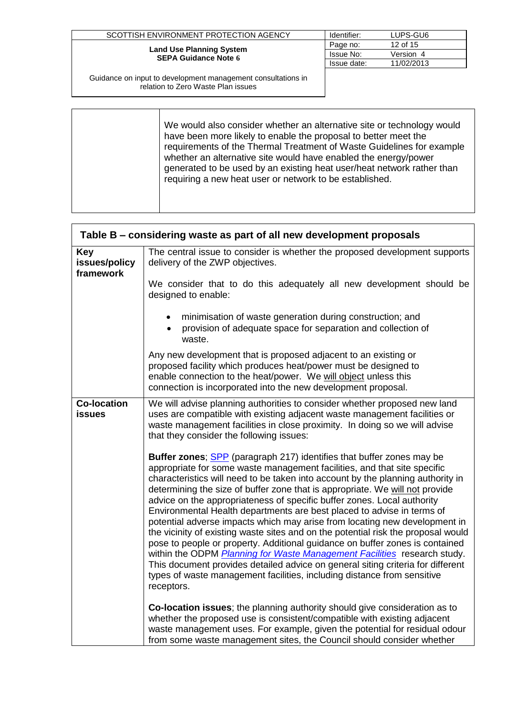| SCOTTISH ENVIRONMENT PROTECTION AGENCY                         | Identifier: | LUPS-GU6   |
|----------------------------------------------------------------|-------------|------------|
|                                                                | Page no:    | 12 of 15   |
| <b>Land Use Planning System</b><br><b>SEPA Guidance Note 6</b> | Issue No:   | Version 4  |
|                                                                | Issue date: | 11/02/2013 |
|                                                                |             |            |

| We would also consider whether an alternative site or technology would<br>have been more likely to enable the proposal to better meet the<br>requirements of the Thermal Treatment of Waste Guidelines for example<br>whether an alternative site would have enabled the energy/power<br>generated to be used by an existing heat user/heat network rather than<br>requiring a new heat user or network to be established. |
|----------------------------------------------------------------------------------------------------------------------------------------------------------------------------------------------------------------------------------------------------------------------------------------------------------------------------------------------------------------------------------------------------------------------------|
|----------------------------------------------------------------------------------------------------------------------------------------------------------------------------------------------------------------------------------------------------------------------------------------------------------------------------------------------------------------------------------------------------------------------------|

<span id="page-11-0"></span>

| Table B – considering waste as part of all new development proposals |                                                                                                                                                                                                                                                                                                                                                                                                                                                                                                                                                                                                                                                                                                                                                                                                                                                                                                                                                                                             |  |
|----------------------------------------------------------------------|---------------------------------------------------------------------------------------------------------------------------------------------------------------------------------------------------------------------------------------------------------------------------------------------------------------------------------------------------------------------------------------------------------------------------------------------------------------------------------------------------------------------------------------------------------------------------------------------------------------------------------------------------------------------------------------------------------------------------------------------------------------------------------------------------------------------------------------------------------------------------------------------------------------------------------------------------------------------------------------------|--|
| <b>Key</b><br>issues/policy<br>framework                             | The central issue to consider is whether the proposed development supports<br>delivery of the ZWP objectives.                                                                                                                                                                                                                                                                                                                                                                                                                                                                                                                                                                                                                                                                                                                                                                                                                                                                               |  |
|                                                                      | We consider that to do this adequately all new development should be<br>designed to enable:                                                                                                                                                                                                                                                                                                                                                                                                                                                                                                                                                                                                                                                                                                                                                                                                                                                                                                 |  |
|                                                                      | minimisation of waste generation during construction; and<br>provision of adequate space for separation and collection of<br>waste.                                                                                                                                                                                                                                                                                                                                                                                                                                                                                                                                                                                                                                                                                                                                                                                                                                                         |  |
|                                                                      | Any new development that is proposed adjacent to an existing or<br>proposed facility which produces heat/power must be designed to<br>enable connection to the heat/power. We will object unless this<br>connection is incorporated into the new development proposal.                                                                                                                                                                                                                                                                                                                                                                                                                                                                                                                                                                                                                                                                                                                      |  |
| <b>Co-location</b><br><b>issues</b>                                  | We will advise planning authorities to consider whether proposed new land<br>uses are compatible with existing adjacent waste management facilities or<br>waste management facilities in close proximity. In doing so we will advise<br>that they consider the following issues:                                                                                                                                                                                                                                                                                                                                                                                                                                                                                                                                                                                                                                                                                                            |  |
|                                                                      | <b>Buffer zones; SPP</b> (paragraph 217) identifies that buffer zones may be<br>appropriate for some waste management facilities, and that site specific<br>characteristics will need to be taken into account by the planning authority in<br>determining the size of buffer zone that is appropriate. We will not provide<br>advice on the appropriateness of specific buffer zones. Local authority<br>Environmental Health departments are best placed to advise in terms of<br>potential adverse impacts which may arise from locating new development in<br>the vicinity of existing waste sites and on the potential risk the proposal would<br>pose to people or property. Additional guidance on buffer zones is contained<br>within the ODPM Planning for Waste Management Facilities research study.<br>This document provides detailed advice on general siting criteria for different<br>types of waste management facilities, including distance from sensitive<br>receptors. |  |
|                                                                      | Co-location issues; the planning authority should give consideration as to<br>whether the proposed use is consistent/compatible with existing adjacent<br>waste management uses. For example, given the potential for residual odour<br>from some waste management sites, the Council should consider whether                                                                                                                                                                                                                                                                                                                                                                                                                                                                                                                                                                                                                                                                               |  |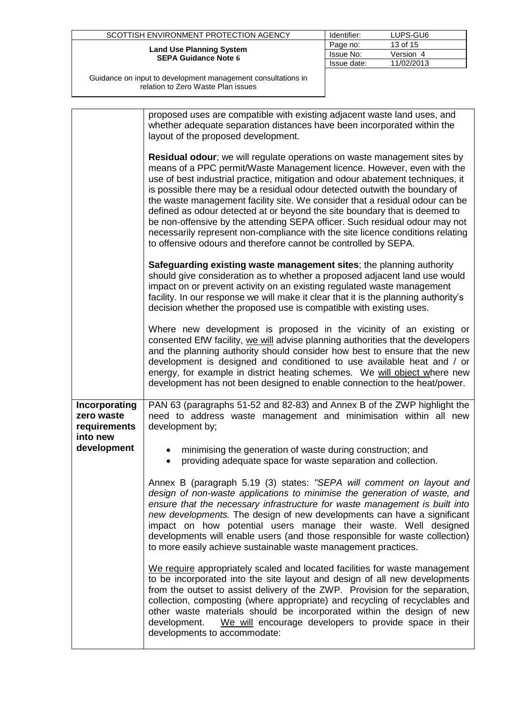| SCOTTISH ENVIRONMENT PROTECTION AGENCY                         | Identifier: | LUPS-GU6   |
|----------------------------------------------------------------|-------------|------------|
|                                                                | Page no:    | 13 of 15   |
| <b>Land Use Planning System</b><br><b>SEPA Guidance Note 6</b> | Issue No:   | Version 4  |
|                                                                | Issue date: | 11/02/2013 |
|                                                                |             |            |

|                                                                        | proposed uses are compatible with existing adjacent waste land uses, and<br>whether adequate separation distances have been incorporated within the<br>layout of the proposed development.<br>Residual odour; we will regulate operations on waste management sites by<br>means of a PPC permit/Waste Management licence. However, even with the<br>use of best industrial practice, mitigation and odour abatement techniques, it<br>is possible there may be a residual odour detected outwith the boundary of<br>the waste management facility site. We consider that a residual odour can be<br>defined as odour detected at or beyond the site boundary that is deemed to<br>be non-offensive by the attending SEPA officer. Such residual odour may not<br>necessarily represent non-compliance with the site licence conditions relating |
|------------------------------------------------------------------------|-------------------------------------------------------------------------------------------------------------------------------------------------------------------------------------------------------------------------------------------------------------------------------------------------------------------------------------------------------------------------------------------------------------------------------------------------------------------------------------------------------------------------------------------------------------------------------------------------------------------------------------------------------------------------------------------------------------------------------------------------------------------------------------------------------------------------------------------------|
|                                                                        | to offensive odours and therefore cannot be controlled by SEPA.<br>Safeguarding existing waste management sites; the planning authority<br>should give consideration as to whether a proposed adjacent land use would<br>impact on or prevent activity on an existing regulated waste management<br>facility. In our response we will make it clear that it is the planning authority's<br>decision whether the proposed use is compatible with existing uses.                                                                                                                                                                                                                                                                                                                                                                                  |
|                                                                        | Where new development is proposed in the vicinity of an existing or<br>consented EfW facility, we will advise planning authorities that the developers<br>and the planning authority should consider how best to ensure that the new<br>development is designed and conditioned to use available heat and / or<br>energy, for example in district heating schemes. We will object where new<br>development has not been designed to enable connection to the heat/power.                                                                                                                                                                                                                                                                                                                                                                        |
| Incorporating<br>zero waste<br>requirements<br>into new<br>development | PAN 63 (paragraphs 51-52 and 82-83) and Annex B of the ZWP highlight the<br>need to address waste management and minimisation within all new<br>development by;<br>minimising the generation of waste during construction; and<br>providing adequate space for waste separation and collection.<br>$\bullet$                                                                                                                                                                                                                                                                                                                                                                                                                                                                                                                                    |
|                                                                        | Annex B (paragraph 5.19 (3) states: "SEPA will comment on layout and<br>design of non-waste applications to minimise the generation of waste, and<br>ensure that the necessary infrastructure for waste management is built into<br>new developments. The design of new developments can have a significant<br>impact on how potential users manage their waste. Well designed<br>developments will enable users (and those responsible for waste collection)<br>to more easily achieve sustainable waste management practices.                                                                                                                                                                                                                                                                                                                 |
|                                                                        | We require appropriately scaled and located facilities for waste management<br>to be incorporated into the site layout and design of all new developments<br>from the outset to assist delivery of the ZWP. Provision for the separation,<br>collection, composting (where appropriate) and recycling of recyclables and<br>other waste materials should be incorporated within the design of new<br>development.<br>We will encourage developers to provide space in their<br>developments to accommodate:                                                                                                                                                                                                                                                                                                                                     |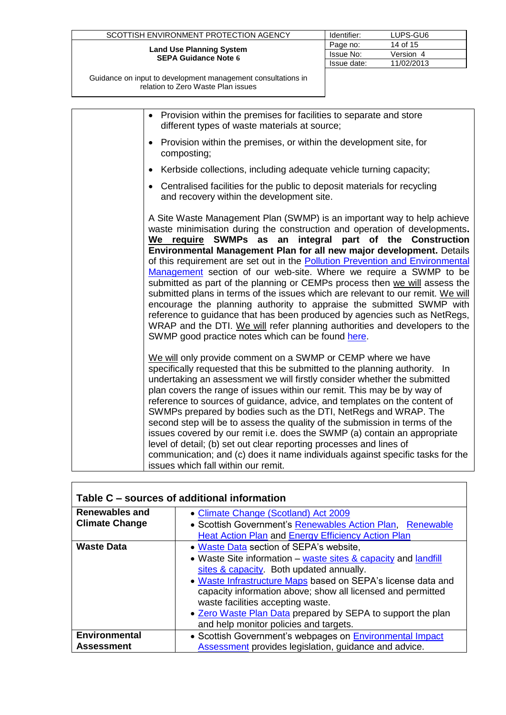| SCOTTISH ENVIRONMENT PROTECTION AGENCY                         | Identifier:      | LUPS-GU6   |
|----------------------------------------------------------------|------------------|------------|
| <b>Land Use Planning System</b><br><b>SEPA Guidance Note 6</b> | Page no:         | 14 of 15   |
|                                                                | <b>Issue No:</b> | Version 4  |
|                                                                | Issue date:      | 11/02/2013 |
|                                                                |                  |            |

| • Provision within the premises for facilities to separate and store<br>different types of waste materials at source;                                                                                                                                                                                                                                                                                                                                                                                                                                                                                                                                                                                                                                                                                                                                                                                   |
|---------------------------------------------------------------------------------------------------------------------------------------------------------------------------------------------------------------------------------------------------------------------------------------------------------------------------------------------------------------------------------------------------------------------------------------------------------------------------------------------------------------------------------------------------------------------------------------------------------------------------------------------------------------------------------------------------------------------------------------------------------------------------------------------------------------------------------------------------------------------------------------------------------|
| Provision within the premises, or within the development site, for<br>composting;                                                                                                                                                                                                                                                                                                                                                                                                                                                                                                                                                                                                                                                                                                                                                                                                                       |
| Kerbside collections, including adequate vehicle turning capacity;                                                                                                                                                                                                                                                                                                                                                                                                                                                                                                                                                                                                                                                                                                                                                                                                                                      |
| Centralised facilities for the public to deposit materials for recycling<br>and recovery within the development site.                                                                                                                                                                                                                                                                                                                                                                                                                                                                                                                                                                                                                                                                                                                                                                                   |
| A Site Waste Management Plan (SWMP) is an important way to help achieve<br>waste minimisation during the construction and operation of developments.<br>We require SWMPs as an integral part of the Construction<br>Environmental Management Plan for all new major development. Details<br>of this requirement are set out in the Pollution Prevention and Environmental<br>Management section of our web-site. Where we require a SWMP to be<br>submitted as part of the planning or CEMPs process then we will assess the<br>submitted plans in terms of the issues which are relevant to our remit. We will<br>encourage the planning authority to appraise the submitted SWMP with<br>reference to guidance that has been produced by agencies such as NetRegs,<br>WRAP and the DTI. We will refer planning authorities and developers to the<br>SWMP good practice notes which can be found here. |
| We will only provide comment on a SWMP or CEMP where we have<br>specifically requested that this be submitted to the planning authority. In<br>undertaking an assessment we will firstly consider whether the submitted<br>plan covers the range of issues within our remit. This may be by way of<br>reference to sources of guidance, advice, and templates on the content of<br>SWMPs prepared by bodies such as the DTI, NetRegs and WRAP. The<br>second step will be to assess the quality of the submission in terms of the<br>issues covered by our remit i.e. does the SWMP (a) contain an appropriate<br>level of detail; (b) set out clear reporting processes and lines of<br>communication; and (c) does it name individuals against specific tasks for the<br>issues which fall within our remit.                                                                                          |

<span id="page-13-0"></span>

| Table C – sources of additional information    |                                                                                                                                                                                                                                                                                                                                                                                                                                    |  |  |
|------------------------------------------------|------------------------------------------------------------------------------------------------------------------------------------------------------------------------------------------------------------------------------------------------------------------------------------------------------------------------------------------------------------------------------------------------------------------------------------|--|--|
| <b>Renewables and</b><br><b>Climate Change</b> | • Climate Change (Scotland) Act 2009<br>• Scottish Government's Renewables Action Plan, Renewable<br>Heat Action Plan and Energy Efficiency Action Plan                                                                                                                                                                                                                                                                            |  |  |
| <b>Waste Data</b>                              | . Waste Data section of SEPA's website,<br>• Waste Site information – waste sites & capacity and landfill<br>sites & capacity. Both updated annually.<br>• Waste Infrastructure Maps based on SEPA's license data and<br>capacity information above; show all licensed and permitted<br>waste facilities accepting waste.<br>. Zero Waste Plan Data prepared by SEPA to support the plan<br>and help monitor policies and targets. |  |  |
| <b>Environmental</b><br><b>Assessment</b>      | • Scottish Government's webpages on <b>Environmental Impact</b><br>Assessment provides legislation, guidance and advice.                                                                                                                                                                                                                                                                                                           |  |  |